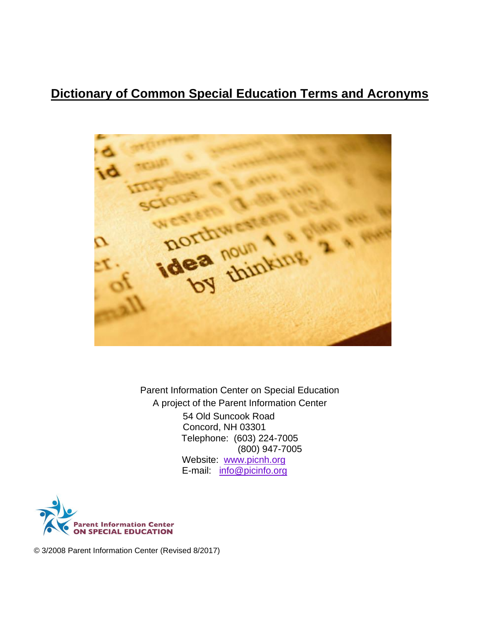# **Dictionary of Common Special Education Terms and Acronyms**



Parent Information Center on Special Education A project of the Parent Information Center 54 Old Suncook Road Concord, NH 03301 Telephone: (603) 224-7005 (800) 947-7005 Website: [www.picnh.org](http://www.picnh.org/) E-mail: [info@picinfo.org](mailto:info@picinfo.org)



© 3/2008 Parent Information Center (Revised 8/2017)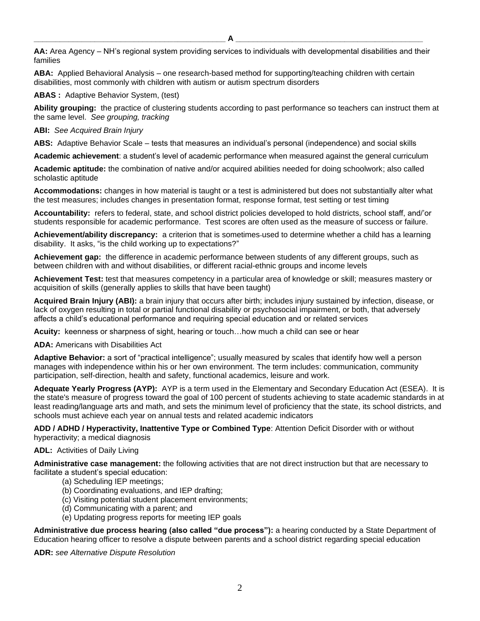**\_\_\_\_\_\_\_\_\_\_\_\_\_\_\_\_\_\_\_\_\_\_\_\_\_\_\_\_\_\_\_\_\_\_\_\_\_\_\_\_\_\_\_\_ A \_\_\_\_\_\_\_\_\_\_\_\_\_\_\_\_\_\_\_\_\_\_\_\_\_\_\_\_\_\_\_\_\_\_\_\_\_\_\_\_\_\_\_**

**AA:** Area Agency – NH's regional system providing services to individuals with developmental disabilities and their families

**ABA:** Applied Behavioral Analysis – one research-based method for supporting/teaching children with certain disabilities, most commonly with children with autism or autism spectrum disorders

**ABAS :** Adaptive Behavior System, (test)

**Ability grouping:** the practice of clustering students according to past performance so teachers can instruct them at the same level. *See grouping, tracking*

## **ABI:** *See Acquired Brain Injury*

**ABS:** Adaptive Behavior Scale – tests that measures an individual's personal (independence) and social skills

**Academic achievement**: a student's level of academic performance when measured against the general curriculum

**Academic aptitude:** the combination of native and/or acquired abilities needed for doing schoolwork; also called scholastic aptitude

**Accommodations:** changes in how material is taught or a test is administered but does not substantially alter what the test measures; includes changes in presentation format, response format, test setting or test timing

**Accountability:** refers to federal, state, and school district policies developed to hold districts, school staff, and/'or students responsible for academic performance. Test scores are often used as the measure of success or failure.

**Achievement/ability discrepancy:** a criterion that is sometimes used to determine whether a child has a learning disability. It asks, "is the child working up to expectations?"

**Achievement gap:** the difference in academic performance between students of any different groups, such as between children with and without disabilities, or different racial-ethnic groups and income levels

**Achievement Test:** test that measures competency in a particular area of knowledge or skill; measures mastery or acquisition of skills (generally applies to skills that have been taught)

**Acquired Brain Injury (ABI):** a brain injury that occurs after birth; includes injury sustained by infection, disease, or lack of oxygen resulting in total or partial functional disability or psychosocial impairment, or both, that adversely affects a child's educational performance and requiring special education and or related services

**Acuity:** keenness or sharpness of sight, hearing or touch…how much a child can see or hear

**ADA:** Americans with Disabilities Act

**Adaptive Behavior:** a sort of "practical intelligence"; usually measured by scales that identify how well a person manages with independence within his or her own environment. The term includes: communication, community participation, self-direction, health and safety, functional academics, leisure and work.

**Adequate Yearly Progress (AYP):** AYP is a term used in the Elementary and Secondary Education Act (ESEA). It is the state's measure of progress toward the goal of 100 percent of students achieving to state academic standards in at least reading/language arts and math, and sets the minimum level of proficiency that the state, its school districts, and schools must achieve each year on annual tests and related academic indicators

**ADD / ADHD / Hyperactivity, Inattentive Type or Combined Type**: Attention Deficit Disorder with or without hyperactivity; a medical diagnosis

#### **ADL:** Activities of Daily Living

**Administrative case management:** the following activities that are not direct instruction but that are necessary to facilitate a student's special education:

- (a) Scheduling IEP meetings;
- (b) Coordinating evaluations, and IEP drafting;
- (c) Visiting potential student placement environments;
- (d) Communicating with a parent; and
- (e) Updating progress reports for meeting IEP goals

**Administrative due process hearing (also called "due process"):** a hearing conducted by a State Department of Education hearing officer to resolve a dispute between parents and a school district regarding special education

**ADR:** *see Alternative Dispute Resolution*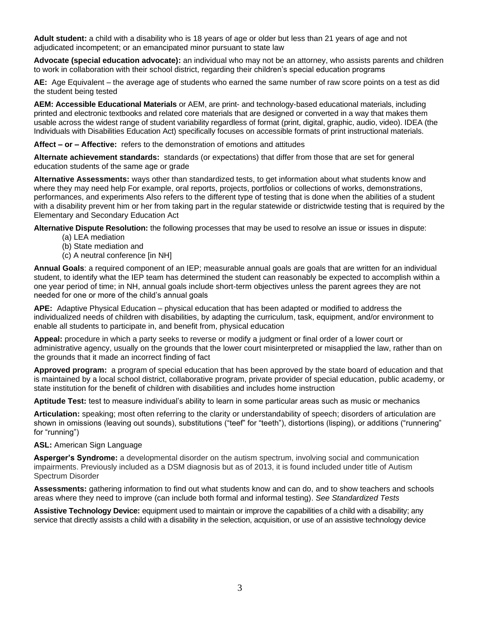**Adult student:** a child with a disability who is 18 years of age or older but less than 21 years of age and not adjudicated incompetent; or an emancipated minor pursuant to state law

**Advocate (special education advocate):** an individual who may not be an attorney, who assists parents and children to work in collaboration with their school district, regarding their children's special education programs

**AE:** Age Equivalent – the average age of students who earned the same number of raw score points on a test as did the student being tested

**AEM: Accessible Educational Materials** or AEM, are print- and technology-based educational materials, including printed and electronic textbooks and related core materials that are designed or converted in a way that makes them usable across the widest range of student variability regardless of format (print, digital, graphic, audio, video). IDEA (the Individuals with Disabilities Education Act) specifically focuses on accessible formats of print instructional materials.

**Affect – or – Affective:** refers to the demonstration of emotions and attitudes

**Alternate achievement standards:** standards (or expectations) that differ from those that are set for general education students of the same age or grade

**Alternative Assessments:** ways other than standardized tests, to get information about what students know and where they may need help For example, oral reports, projects, portfolios or collections of works, demonstrations, performances, and experiments Also refers to the different type of testing that is done when the abilities of a student with a disability prevent him or her from taking part in the regular statewide or districtwide testing that is required by the Elementary and Secondary Education Act

**Alternative Dispute Resolution:** the following processes that may be used to resolve an issue or issues in dispute:

- (a) LEA mediation
- (b) State mediation and
- (c) A neutral conference [in NH]

**Annual Goals**: a required component of an IEP; measurable annual goals are goals that are written for an individual student, to identify what the IEP team has determined the student can reasonably be expected to accomplish within a one year period of time; in NH, annual goals include short-term objectives unless the parent agrees they are not needed for one or more of the child's annual goals

**APE:** Adaptive Physical Education – physical education that has been adapted or modified to address the individualized needs of children with disabilities, by adapting the curriculum, task, equipment, and/or environment to enable all students to participate in, and benefit from, physical education

**Appeal:** procedure in which a party seeks to reverse or modify a judgment or final order of a lower court or administrative agency, usually on the grounds that the lower court misinterpreted or misapplied the law, rather than on the grounds that it made an incorrect finding of fact

**Approved program:** a program of special education that has been approved by the state board of education and that is maintained by a local school district, collaborative program, private provider of special education, public academy, or state institution for the benefit of children with disabilities and includes home instruction

**Aptitude Test:** test to measure individual's ability to learn in some particular areas such as music or mechanics

**Articulation:** speaking; most often referring to the clarity or understandability of speech; disorders of articulation are shown in omissions (leaving out sounds), substitutions ("teef" for "teeth"), distortions (lisping), or additions ("runnering" for "running")

## **ASL:** American Sign Language

**Asperger's Syndrome:** a developmental disorder on the autism spectrum, involving social and communication impairments. Previously included as a DSM diagnosis but as of 2013, it is found included under title of Autism Spectrum Disorder

**Assessments:** gathering information to find out what students know and can do, and to show teachers and schools areas where they need to improve (can include both formal and informal testing). *See [Standardized Tests](http://www.parentinformationcenter.org/sped/definitions/glossary/#standardizedtests)*

**Assistive Technology Device:** equipment used to maintain or improve the capabilities of a child with a disability; any service that directly assists a child with a disability in the selection, acquisition, or use of an assistive technology device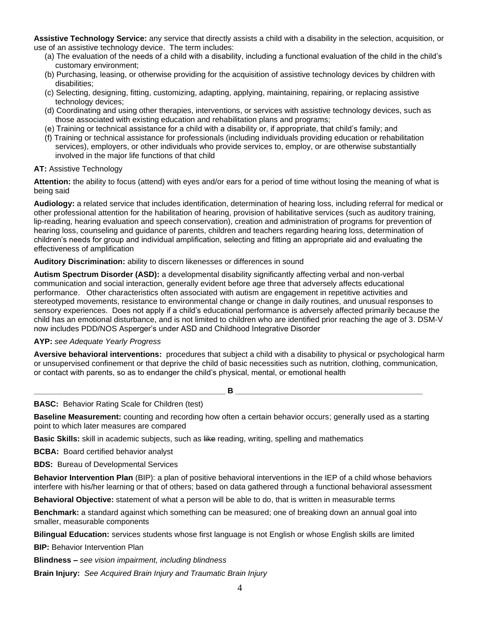**Assistive Technology Service:** any service that directly assists a child with a disability in the selection, acquisition, or use of an assistive technology device. The term includes:

- (a) The evaluation of the needs of a child with a disability, including a functional evaluation of the child in the child's customary environment;
- (b) Purchasing, leasing, or otherwise providing for the acquisition of assistive technology devices by children with disabilities;
- (c) Selecting, designing, fitting, customizing, adapting, applying, maintaining, repairing, or replacing assistive technology devices;
- (d) Coordinating and using other therapies, interventions, or services with assistive technology devices, such as those associated with existing education and rehabilitation plans and programs;
- (e) Training or technical assistance for a child with a disability or, if appropriate, that child's family; and
- (f) Training or technical assistance for professionals (including individuals providing education or rehabilitation services), employers, or other individuals who provide services to, employ, or are otherwise substantially involved in the major life functions of that child

## **AT:** Assistive Technology

**Attention:** the ability to focus (attend) with eyes and/or ears for a period of time without losing the meaning of what is being said

**Audiology:** a related service that includes identification, determination of hearing loss, including referral for medical or other professional attention for the habilitation of hearing, provision of habilitative services (such as auditory training, lip-reading, hearing evaluation and speech conservation), creation and administration of programs for prevention of hearing loss, counseling and guidance of parents, children and teachers regarding hearing loss, determination of children's needs for group and individual amplification, selecting and fitting an appropriate aid and evaluating the effectiveness of amplification

#### **Auditory Discrimination:** ability to discern likenesses or differences in sound

**Autism Spectrum Disorder (ASD):** a developmental disability significantly affecting verbal and non-verbal communication and social interaction, generally evident before age three that adversely affects educational performance. Other characteristics often associated with autism are engagement in repetitive activities and stereotyped movements, resistance to environmental change or change in daily routines, and unusual responses to sensory experiences. Does not apply if a child's educational performance is adversely affected primarily because the child has an emotional disturbance, and is not limited to children who are identified prior reaching the age of 3. DSM-V now includes PDD/NOS Asperger's under ASD and Childhood Integrative Disorder

#### **AYP:** *see Adequate Yearly Progress*

**Aversive behavioral interventions:** procedures that subject a child with a disability to physical or psychological harm or unsupervised confinement or that deprive the child of basic necessities such as nutrition, clothing, communication, or contact with parents, so as to endanger the child's physical, mental, or emotional health

 $\blacksquare$  **B**  $\blacksquare$   $\blacksquare$ 

**BASC:** Behavior Rating Scale for Children (test)

**Baseline Measurement:** counting and recording how often a certain behavior occurs; generally used as a starting point to which later measures are compared

**Basic Skills:** skill in academic subjects, such as like reading, writing, spelling and mathematics

**BCBA:** Board certified behavior analyst

**BDS:** Bureau of Developmental Services

**Behavior Intervention Plan** (BIP): a plan of positive behavioral interventions in the IEP of a child whose behaviors interfere with his/her learning or that of others; based on data gathered through a functional behavioral assessment

**Behavioral Objective:** statement of what a person will be able to do, that is written in measurable terms

**Benchmark:** a standard against which something can be measured; one of breaking down an annual goal into smaller, measurable components

**Bilingual Education:** services students whose first language is not English or whose English skills are limited

**BIP:** Behavior Intervention Plan

**Blindness –** *see vision impairment, including blindness*

**Brain Injury:** *See Acquired Brain Injury and Traumatic Brain Injury*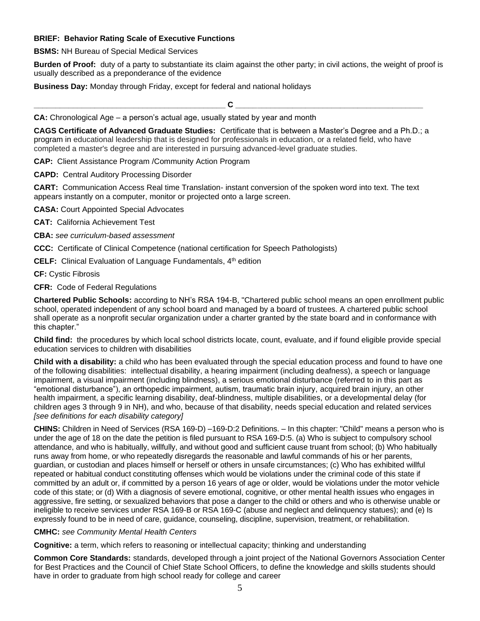## **BRIEF: Behavior Rating Scale of Executive Functions**

**BSMS:** NH Bureau of Special Medical Services

**Burden of Proof:** duty of a party to substantiate its claim against the other party; in civil actions, the weight of proof is usually described as a preponderance of the evidence

**Business Day:** Monday through Friday, except for federal and national holidays

**\_\_\_\_\_\_\_\_\_\_\_\_\_\_\_\_\_\_\_\_\_\_\_\_\_\_\_\_\_\_\_\_\_\_\_\_\_\_\_\_\_\_\_\_ C \_\_\_\_\_\_\_\_\_\_\_\_\_\_\_\_\_\_\_\_\_\_\_\_\_\_\_\_\_\_\_\_\_\_\_\_\_\_\_\_\_\_\_**

**CA:** Chronological Age – a person's actual age, usually stated by year and month

**CAGS Certificate of Advanced Graduate Studies:** Certificate that is between a Master's Degree and a Ph.D.; a program in educational leadership that is designed for professionals in education, or a related field, who have completed a master's degree and are interested in pursuing advanced-level graduate studies.

**CAP:** Client Assistance Program /Community Action Program

**CAPD:** Central Auditory Processing Disorder

**CART:** Communication Access Real time Translation- instant conversion of the spoken word into text. The text appears instantly on a computer, monitor or projected onto a large screen.

**CASA:** Court Appointed Special Advocates

**CAT:** California Achievement Test

**CBA:** *see curriculum-based assessment*

**CCC:** Certificate of Clinical Competence (national certification for Speech Pathologists)

**CELF:** Clinical Evaluation of Language Fundamentals, 4<sup>th</sup> edition

**CF:** Cystic Fibrosis

**CFR:** Code of Federal Regulations

**Chartered Public Schools:** according to NH's RSA 194-B, "Chartered public school means an open enrollment public school, operated independent of any school board and managed by a board of trustees. A chartered public school shall operate as a nonprofit secular organization under a charter granted by the state board and in conformance with this chapter."

**Child find:**the procedures by which local school districts locate, count, evaluate, and if found eligible provide special education services to children with disabilities

**Child with a disability:** a child who has been evaluated through the special education process and found to have one of the following disabilities: intellectual disability, a hearing impairment (including deafness), a speech or language impairment, a visual impairment (including blindness), a serious emotional disturbance (referred to in this part as "emotional disturbance"), an orthopedic impairment, autism, traumatic brain injury, acquired brain injury, an other health impairment, a specific learning disability, deaf-blindness, multiple disabilities, or a developmental delay (for children ages 3 through 9 in NH), and who, because of that disability, needs special education and related services *[see definitions for each disability category]*

**CHINS:** Children in Need of Services (RSA 169-D) –169-D:2 Definitions. – In this chapter: "Child'' means a person who is under the age of 18 on the date the petition is filed pursuant to RSA 169-D:5. (a) Who is subject to compulsory school attendance, and who is habitually, willfully, and without good and sufficient cause truant from school; (b) Who habitually runs away from home, or who repeatedly disregards the reasonable and lawful commands of his or her parents, guardian, or custodian and places himself or herself or others in unsafe circumstances; (c) Who has exhibited willful repeated or habitual conduct constituting offenses which would be violations under the criminal code of this state if committed by an adult or, if committed by a person 16 years of age or older, would be violations under the motor vehicle code of this state; or (d) With a diagnosis of severe emotional, cognitive, or other mental health issues who engages in aggressive, fire setting, or sexualized behaviors that pose a danger to the child or others and who is otherwise unable or ineligible to receive services under RSA 169-B or RSA 169-C (abuse and neglect and delinquency statues); and (e) Is expressly found to be in need of care, guidance, counseling, discipline, supervision, treatment, or rehabilitation.

**CMHC:** *see Community Mental Health Centers*

**Cognitive:** a term, which refers to reasoning or intellectual capacity; thinking and understanding

**Common Core Standards:** standards, developed through a joint project of the National Governors Association Center for Best Practices and the Council of Chief State School Officers, to define the knowledge and skills students should have in order to graduate from high school ready for college and career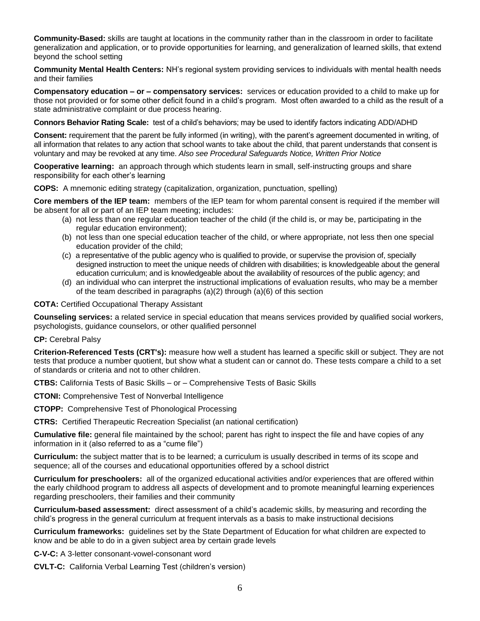**Community-Based:** skills are taught at locations in the community rather than in the classroom in order to facilitate generalization and application, or to provide opportunities for learning, and generalization of learned skills, that extend beyond the school setting

**Community Mental Health Centers:** NH's regional system providing services to individuals with mental health needs and their families

**Compensatory education – or – compensatory services:** services or education provided to a child to make up for those not provided or for some other deficit found in a child's program. Most often awarded to a child as the result of a state administrative complaint or due process hearing.

**Connors Behavior Rating Scale:** test of a child's behaviors; may be used to identify factors indicating ADD/ADHD

**Consent:** requirement that the parent be fully informed (in writing), with the parent's agreement documented in writing, of all information that relates to any action that school wants to take about the child, that parent understands that consent is voluntary and may be revoked at any time. *Also see [Procedural Safeguards Notice,](http://www.parentinformationcenter.org/sped/definitions/glossary/#proceduralsafeguards) [Written Prior Notice](http://www.parentinformationcenter.org/sped/definitions/glossary/#writtenpriornotice)*

**Cooperative learning:** an approach through which students learn in small, self-instructing groups and share responsibility for each other's learning

**COPS:** A mnemonic editing strategy (capitalization, organization, punctuation, spelling)

**Core members of the IEP team:** members of the IEP team for whom parental consent is required if the member will be absent for all or part of an IEP team meeting; includes:

- (a) not less than one regular education teacher of the child (if the child is, or may be, participating in the regular education environment);
- (b) not less than one special education teacher of the child, or where appropriate, not less then one special education provider of the child;
- (c) a representative of the public agency who is qualified to provide, or supervise the provision of, specially designed instruction to meet the unique needs of children with disabilities; is knowledgeable about the general education curriculum; and is knowledgeable about the availability of resources of the public agency; and
- (d) an individual who can interpret the instructional implications of evaluation results, who may be a member of the team described in paragraphs (a)(2) through (a)(6) of this section

**COTA:** Certified Occupational Therapy Assistant

**Counseling services:** a related service in special education that means services provided by qualified social workers, psychologists, guidance counselors, or other qualified personnel

**CP:** Cerebral Palsy

**Criterion-Referenced Tests (CRT's):** measure how well a student has learned a specific skill or subject. They are not tests that produce a number quotient, but show what a student can or cannot do. These tests compare a child to a set of standards or criteria and not to other children.

**CTBS:** California Tests of Basic Skills – or – Comprehensive Tests of Basic Skills

**CTONI:** Comprehensive Test of Nonverbal Intelligence

**CTOPP:** Comprehensive Test of Phonological Processing

**CTRS:** Certified Therapeutic Recreation Specialist (an national certification)

**Cumulative file:** general file maintained by the school; parent has right to inspect the file and have copies of any information in it (also referred to as a "cume file")

**Curriculum:** the subject matter that is to be learned; a curriculum is usually described in terms of its scope and sequence; all of the courses and educational opportunities offered by a school district

**Curriculum for preschoolers:**all of the organized educational activities and/or experiences that are offered within the early childhood program to address all aspects of development and to promote meaningful learning experiences regarding preschoolers, their families and their community

**Curriculum-based assessment:** direct assessment of a child's academic skills, by measuring and recording the child's progress in the general curriculum at frequent intervals as a basis to make instructional decisions

**Curriculum frameworks:**guidelines set by the State Department of Education for what children are expected to know and be able to do in a given subject area by certain grade levels

**C-V-C:** A 3-letter consonant-vowel-consonant word

**CVLT-C:** California Verbal Learning Test (children's version)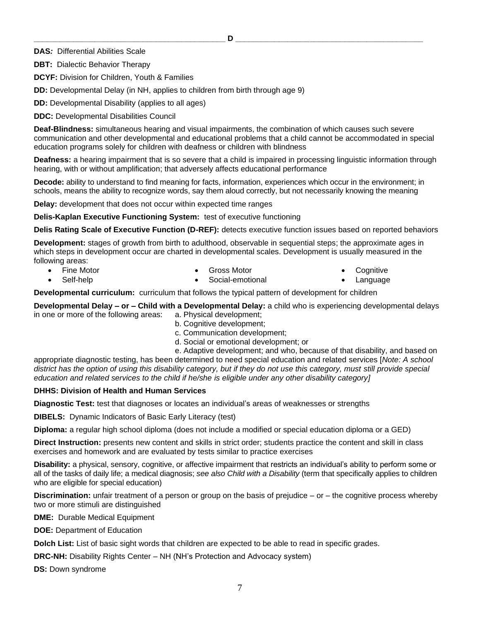**DAS***:* Differential Abilities Scale

**DBT:** Dialectic Behavior Therapy

**DCYF:** Division for Children, Youth & Families

**DD:** Developmental Delay (in NH, applies to children from birth through age 9)

**DD:** Developmental Disability (applies to all ages)

**DDC:** Developmental Disabilities Council

**Deaf-Blindness:** simultaneous hearing and visual impairments, the combination of which causes such severe communication and other developmental and educational problems that a child cannot be accommodated in special education programs solely for children with deafness or children with blindness

**Deafness:** a hearing impairment that is so severe that a child is impaired in processing linguistic information through hearing, with or without amplification; that adversely affects educational performance

**Decode:** ability to understand to find meaning for facts, information, experiences which occur in the environment; in schools, means the ability to recognize words, say them aloud correctly, but not necessarily knowing the meaning

**Delay:** development that does not occur within expected time ranges

**Delis-Kaplan Executive Functioning System:** test of executive functioning

**Delis Rating Scale of Executive Function (D-REF):** detects executive function issues based on reported behaviors

**Development:** stages of growth from birth to adulthood, observable in sequential steps; the approximate ages in which steps in development occur are charted in developmental scales. Development is usually measured in the following areas:

• Fine Motor Self-help

• Gross Motor

- **Cognitive**
- **Language**

**Developmental curriculum:** curriculum that follows the typical pattern of development for children

**Developmental Delay – or – Child with a Developmental Delay:** a child who is experiencing developmental delays in one or more of the following areas: a. Physical development;

Social-emotional

- b. Cognitive development;
- c. Communication development;
- d. Social or emotional development; or

e. Adaptive development; and who, because of that disability, and based on

appropriate diagnostic testing, has been determined to need special education and related services [*Note: A school district has the option of using this disability category, but if they do not use this category, must still provide special education and related services to the child if he/she is eligible under any other disability category]*

#### **DHHS: Division of Health and Human Services**

**Diagnostic Test:** test that diagnoses or locates an individual's areas of weaknesses or strengths

**DIBELS:** Dynamic Indicators of Basic Early Literacy (test)

**Diploma:** a regular high school diploma (does not include a modified or special education diploma or a GED)

**Direct Instruction:** presents new content and skills in strict order; students practice the content and skill in class exercises and homework and are evaluated by tests similar to practice exercises

**Disability:** a physical, sensory, cognitive, or affective impairment that restricts an individual's ability to perform some or all of the tasks of daily life; a medical diagnosis; *see also Child with a Disability* (term that specifically applies to children who are eligible for special education)

**Discrimination:** unfair treatment of a person or group on the basis of prejudice – or – the cognitive process whereby two or more stimuli are distinguished

**DME:** Durable Medical Equipment

**DOE: Department of Education** 

**Dolch List:** List of basic sight words that children are expected to be able to read in specific grades.

**DRC-NH:** Disability Rights Center – NH (NH's Protection and Advocacy system)

**DS:** Down syndrome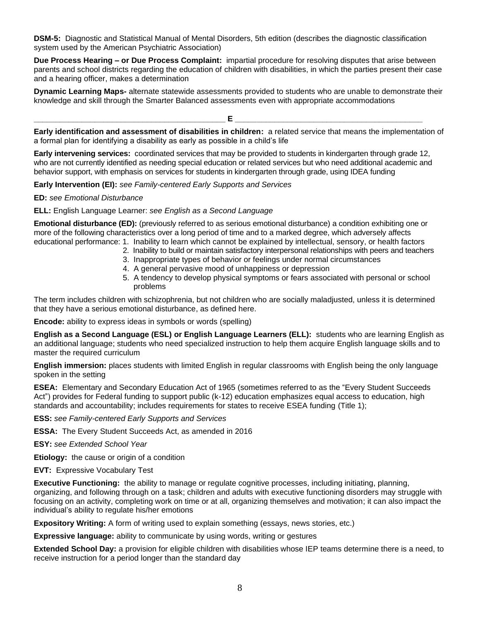**DSM-5:** Diagnostic and Statistical Manual of Mental Disorders, 5th edition (describes the diagnostic classification system used by the American Psychiatric Association)

**Due Process Hearing – or Due Process Complaint:** impartial procedure for resolving disputes that arise between parents and school districts regarding the education of children with disabilities, in which the parties present their case and a hearing officer, makes a determination

**Dynamic Learning Maps-** alternate statewide assessments provided to students who are unable to demonstrate their knowledge and skill through the Smarter Balanced assessments even with appropriate accommodations

**Early identification and assessment of disabilities in children:** a related service that means the implementation of a formal plan for identifying a disability as early as possible in a child's life

**Early intervening services:**coordinated services that may be provided to students in kindergarten through grade 12, who are not currently identified as needing special education or related services but who need additional academic and behavior support, with emphasis on services for students in kindergarten through grade, using IDEA funding

**\_\_\_\_\_\_\_\_\_\_\_\_\_\_\_\_\_\_\_\_\_\_\_\_\_\_\_\_\_\_\_\_\_\_\_\_\_\_\_\_\_\_\_\_ E \_\_\_\_\_\_\_\_\_\_\_\_\_\_\_\_\_\_\_\_\_\_\_\_\_\_\_\_\_\_\_\_\_\_\_\_\_\_\_\_\_\_\_**

**Early Intervention (EI):** *see Family-centered Early Supports and Services*

## **ED:** *see Emotional Disturbance*

**ELL:** English Language Learner: *see English as a Second Language*

**Emotional disturbance (ED):** (previously referred to as serious emotional disturbance) a condition exhibiting one or more of the following characteristics over a long period of time and to a marked degree, which adversely affects educational performance: 1. Inability to learn which cannot be explained by intellectual, sensory, or health factors

- 2. Inability to build or maintain satisfactory interpersonal relationships with peers and teachers
- 3. Inappropriate types of behavior or feelings under normal circumstances
- 4. A general pervasive mood of unhappiness or depression
- 5. A tendency to develop physical symptoms or fears associated with personal or school problems

The term includes children with schizophrenia, but not children who are socially maladjusted, unless it is determined that they have a serious emotional disturbance, as defined here.

**Encode:** ability to express ideas in symbols or words (spelling)

**English as a Second Language (ESL) or English Language Learners (ELL):** students who are learning English as an additional language; students who need specialized instruction to help them acquire English language skills and to master the required curriculum

**English immersion:** places students with limited English in regular classrooms with English being the only language spoken in the setting

**ESEA:** Elementary and Secondary Education Act of 1965 (sometimes referred to as the "Every Student Succeeds Act") provides for Federal funding to support public (k-12) education emphasizes equal access to education, high standards and accountability; includes requirements for states to receive ESEA funding (Title 1);

**ESS:** *see Family-centered Early Supports and Services*

**ESSA:** The Every Student Succeeds Act, as amended in 2016

**ESY:** *see Extended School Year* 

**Etiology:** the cause or origin of a condition

**EVT:** Expressive Vocabulary Test

**Executive Functioning:** the ability to manage or regulate cognitive processes, including initiating, planning, organizing, and following through on a task; children and adults with executive functioning disorders may struggle with focusing on an activity, completing work on time or at all, organizing themselves and motivation; it can also impact the individual's ability to regulate his/her emotions

**Expository Writing:** A form of writing used to explain something (essays, news stories, etc.)

**Expressive language:** ability to communicate by using words, writing or gestures

**Extended School Day:** a provision for eligible children with disabilities whose IEP teams determine there is a need, to receive instruction for a period longer than the standard day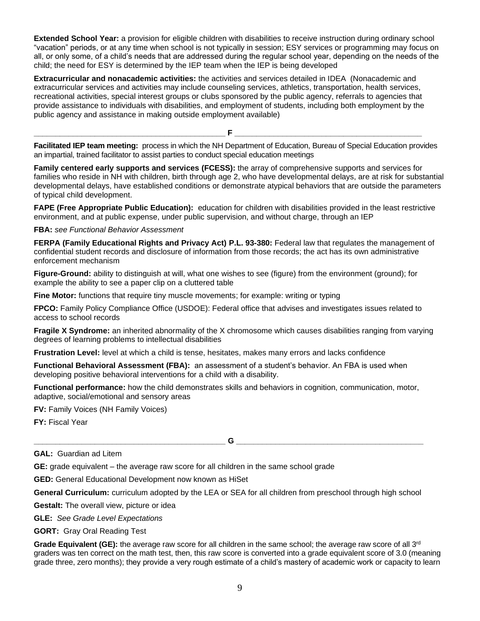**Extended School Year:** a provision for eligible children with disabilities to receive instruction during ordinary school "vacation" periods, or at any time when school is not typically in session; ESY services or programming may focus on all, or only some, of a child's needs that are addressed during the regular school year, depending on the needs of the child; the need for ESY is determined by the IEP team when the IEP is being developed

**Extracurricular and nonacademic activities:** the activities and services detailed in IDEA (Nonacademic and extracurricular services and activities may include counseling services, athletics, transportation, health services, recreational activities, special interest groups or clubs sponsored by the public agency, referrals to agencies that provide assistance to individuals with disabilities, and employment of students, including both employment by the public agency and assistance in making outside employment available)

**\_\_\_\_\_\_\_\_\_\_\_\_\_\_\_\_\_\_\_\_\_\_\_\_\_\_\_\_\_\_\_\_\_\_\_\_\_\_\_\_\_\_\_\_ F \_\_\_\_\_\_\_\_\_\_\_\_\_\_\_\_\_\_\_\_\_\_\_\_\_\_\_\_\_\_\_\_\_\_\_\_\_\_\_\_\_\_\_**

**Facilitated IEP team meeting:** process in which the NH Department of Education, Bureau of Special Education provides an impartial, trained facilitator to assist parties to conduct special education meetings

**Family centered early supports and services (FCESS):** the array of comprehensive supports and services for families who reside in NH with children, birth through age 2, who have developmental delays, are at risk for substantial developmental delays, have established conditions or demonstrate atypical behaviors that are outside the parameters of typical child development.

**FAPE (Free Appropriate Public Education):** education for children with disabilities provided in the least restrictive environment, and at public expense, under public supervision, and without charge, through an IEP

**FBA:** *see Functional Behavior Assessment*

**FERPA (Family Educational Rights and Privacy Act) P.L. 93-380:** Federal law that regulates the management of confidential student records and disclosure of information from those records; the act has its own administrative enforcement mechanism

**Figure-Ground:** ability to distinguish at will, what one wishes to see (figure) from the environment (ground); for example the ability to see a paper clip on a cluttered table

**Fine Motor:** functions that require tiny muscle movements; for example: writing or typing

**FPCO:** Family Policy Compliance Office (USDOE): Federal office that advises and investigates issues related to access to school records

**Fragile X Syndrome:** an inherited abnormality of the X chromosome which causes disabilities ranging from varying degrees of learning problems to intellectual disabilities

**Frustration Level:** level at which a child is tense, hesitates, makes many errors and lacks confidence

**Functional Behavioral Assessment (FBA):** an assessment of a student's behavior. An FBA is used when developing positive behavioral interventions for a child with a disability.

**Functional performance:** how the child demonstrates skills and behaviors in cognition, communication, motor, adaptive, social/emotional and sensory areas

**FV:** Family Voices (NH Family Voices)

**FY:** Fiscal Year

**\_\_\_\_\_\_\_\_\_\_\_\_\_\_\_\_\_\_\_\_\_\_\_\_\_\_\_\_\_\_\_\_\_\_\_\_\_\_\_\_\_\_\_\_ G \_\_\_\_\_\_\_\_\_\_\_\_\_\_\_\_\_\_\_\_\_\_\_\_\_\_\_\_\_\_\_\_\_\_\_\_\_\_\_\_\_\_\_**

#### **GAL:** Guardian ad Litem

**GE:** grade equivalent – the average raw score for all children in the same school grade

**GED:** General Educational Development now known as HiSet

**General Curriculum:** curriculum adopted by the LEA or SEA for all children from preschool through high school

**Gestalt:** The overall view, picture or idea

**GLE:** *See Grade Level Expectations*

**GORT:** Gray Oral Reading Test

Grade Equivalent (GE): the average raw score for all children in the same school; the average raw score of all 3<sup>rd</sup> graders was ten correct on the math test, then, this raw score is converted into a grade equivalent score of 3.0 (meaning grade three, zero months); they provide a very rough estimate of a child's mastery of academic work or capacity to learn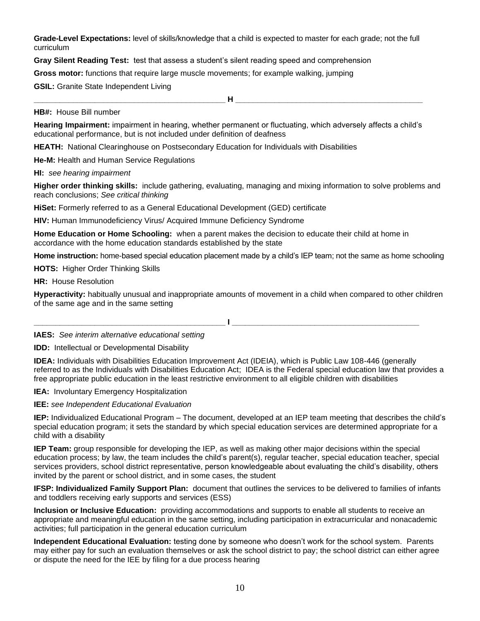**Grade-Level Expectations:** level of skills/knowledge that a child is expected to master for each grade; not the full curriculum

**Gray Silent Reading Test:** test that assess a student's silent reading speed and comprehension

**Gross motor:** functions that require large muscle movements; for example walking, jumping

**GSIL:** Granite State Independent Living

**\_\_\_\_\_\_\_\_\_\_\_\_\_\_\_\_\_\_\_\_\_\_\_\_\_\_\_\_\_\_\_\_\_\_\_\_\_\_\_\_\_\_\_\_ H \_\_\_\_\_\_\_\_\_\_\_\_\_\_\_\_\_\_\_\_\_\_\_\_\_\_\_\_\_\_\_\_\_\_\_\_\_\_\_\_\_\_\_**

**HB#:** House Bill number

**Hearing Impairment:** impairment in hearing, whether permanent or fluctuating, which adversely affects a child's educational performance, but is not included under definition of deafness

**HEATH:** National Clearinghouse on Postsecondary Education for Individuals with Disabilities

**He-M:** Health and Human Service Regulations

**HI:** *see hearing impairment*

**Higher order thinking skills:** include gathering, evaluating, managing and mixing information to solve problems and reach conclusions; *See critical thinking*

**HiSet:** Formerly referred to as a General Educational Development (GED) certificate

**HIV:** Human Immunodeficiency Virus/ Acquired Immune Deficiency Syndrome

**Home Education or Home Schooling:** when a parent makes the decision to educate their child at home in accordance with the home education standards established by the state

**Home instruction:** home-based special education placement made by a child's IEP team; not the same as home schooling

**HOTS:** Higher Order Thinking Skills

**HR:** House Resolution

**Hyperactivity:** habitually unusual and inappropriate amounts of movement in a child when compared to other children of the same age and in the same setting

 $\blacksquare$ 

**IAES:** *See interim alternative educational setting*

**IDD:** Intellectual or Developmental Disability

**IDEA:** Individuals with Disabilities Education Improvement Act (IDEIA), which is Public Law 108-446 (generally referred to as the Individuals with Disabilities Education Act; IDEA is the Federal special education law that provides a free appropriate public education in the least restrictive environment to all eligible children with disabilities

**IEA:** Involuntary Emergency Hospitalization

**IEE:** *see Independent Educational Evaluation*

**IEP:** Individualized Educational Program – The document, developed at an IEP team meeting that describes the child's special education program; it sets the standard by which special education services are determined appropriate for a child with a disability

**IEP Team:** group responsible for developing the IEP, as well as making other major decisions within the special education process; by law, the team includes the child's parent(s), regular teacher, special education teacher, special services providers, school district representative, person knowledgeable about evaluating the child's disability, others invited by the parent or school district, and in some cases, the student

**IFSP: Individualized Family Support Plan:** document that outlines the services to be delivered to families of infants and toddlers receiving early supports and services (ESS)

**Inclusion or Inclusive Education:** providing accommodations and supports to enable all students to receive an appropriate and meaningful education in the same setting, including participation in extracurricular and nonacademic activities; full participation in the general education curriculum

**Independent Educational Evaluation:** testing done by someone who doesn't work for the school system. Parents may either pay for such an evaluation themselves or ask the school district to pay; the school district can either agree or dispute the need for the IEE by filing for a due process hearing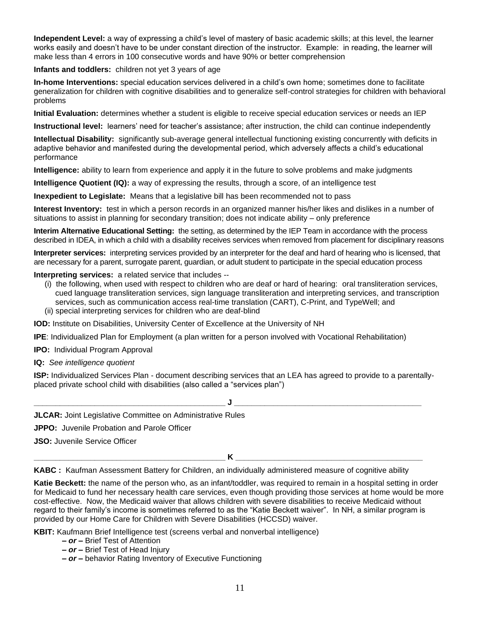**Independent Level:** a way of expressing a child's level of mastery of basic academic skills; at this level, the learner works easily and doesn't have to be under constant direction of the instructor. Example: in reading, the learner will make less than 4 errors in 100 consecutive words and have 90% or better comprehension

**Infants and toddlers:** children not yet 3 years of age

**In-home Interventions:** special education services delivered in a child's own home; sometimes done to facilitate generalization for children with cognitive disabilities and to generalize self-control strategies for children with behavioral problems

**Initial Evaluation:** determines whether a student is eligible to receive special education services or needs an IEP

**Instructional level:** learners' need for teacher's assistance; after instruction, the child can continue independently

**Intellectual Disability:** significantly sub-average general intellectual functioning existing concurrently with deficits in adaptive behavior and manifested during the developmental period, which adversely affects a child's educational performance

**Intelligence:** ability to learn from experience and apply it in the future to solve problems and make judgments

**Intelligence Quotient (IQ):** a way of expressing the results, through a score, of an intelligence test

**Inexpedient to Legislate:** Means that a legislative bill has been recommended not to pass

**Interest Inventory:** test in which a person records in an organized manner his/her likes and dislikes in a number of situations to assist in planning for secondary transition; does not indicate ability – only preference

**Interim Alternative Educational Setting:** the setting, as determined by the IEP Team in accordance with the process described in IDEA, in which a child with a disability receives services when removed from placement for disciplinary reasons

**Interpreter services:** interpreting services provided by an interpreter for the deaf and hard of hearing who is licensed, that are necessary for a parent, surrogate parent, guardian, or adult student to participate in the special education process

## **Interpreting services:**a related service that includes --

 (i) the following, when used with respect to children who are deaf or hard of hearing: oral transliteration services, cued language transliteration services, sign language transliteration and interpreting services, and transcription services, such as communication access real-time translation (CART), C-Print, and TypeWell; and (ii) special interpreting services for children who are deaf-blind

**IOD:** Institute on Disabilities, University Center of Excellence at the University of NH

**IPE**: Individualized Plan for Employment (a plan written for a person involved with Vocational Rehabilitation)

**IPO:** Individual Program Approval

**IQ:** *See intelligence quotient*

**ISP:** Individualized Services Plan - document describing services that an LEA has agreed to provide to a parentallyplaced private school child with disabilities (also called a "services plan")



**JSO:** Juvenile Service Officer

**\_\_\_\_\_\_\_\_\_\_\_\_\_\_\_\_\_\_\_\_\_\_\_\_\_\_\_\_\_\_\_\_\_\_\_\_\_\_\_\_\_\_\_\_ K \_\_\_\_\_\_\_\_\_\_\_\_\_\_\_\_\_\_\_\_\_\_\_\_\_\_\_\_\_\_\_\_\_\_\_\_\_\_\_\_\_\_\_**

**KABC :** Kaufman Assessment Battery for Children, an individually administered measure of cognitive ability

**Katie Beckett:** the name of the person who, as an infant/toddler, was required to remain in a hospital setting in order for Medicaid to fund her necessary health care services, even though providing those services at home would be more cost-effective. Now, the Medicaid waiver that allows children with severe disabilities to receive Medicaid without regard to their family's income is sometimes referred to as the "Katie Beckett waiver". In NH, a similar program is provided by our Home Care for Children with Severe Disabilities (HCCSD) waiver.

**KBIT:** Kaufmann Brief Intelligence test (screens verbal and nonverbal intelligence)

- *– or –* Brief Test of Attention
- *– or –* Brief Test of Head Injury
- *– or –* behavior Rating Inventory of Executive Functioning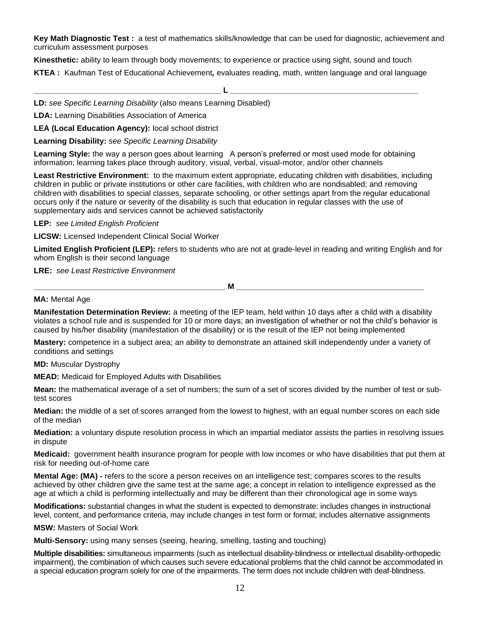**Key Math Diagnostic Test :** a test of mathematics skills/knowledge that can be used for diagnostic, achievement and curriculum assessment purposes

**Kinesthetic:** ability to learn through body movements; to experience or practice using sight, sound and touch **KTEA :** Kaufman Test of Educational Achievement*,* evaluates reading, math, written language and oral language

**\_\_\_\_\_\_\_\_\_\_\_\_\_\_\_\_\_\_\_\_\_\_\_\_\_\_\_\_\_\_\_\_\_\_\_\_\_\_\_\_\_\_\_ L \_\_\_\_\_\_\_\_\_\_\_\_\_\_\_\_\_\_\_\_\_\_\_\_\_\_\_\_\_\_\_\_\_\_\_\_\_\_\_\_\_\_\_**

**LD:** *see Specific Learning Disability* (also means Learning Disabled)

**LDA:** Learning Disabilities Association of America

**LEA (Local Education Agency):** local school district

**Learning Disability:** *see Specific Learning Disability*

**Learning Style:** the way a person goes about learning A person's preferred or most used mode for obtaining information; learning takes place through auditory, visual, verbal, visual-motor, and/or other channels

**Least Restrictive Environment:** to the maximum extent appropriate, educating children with disabilities, including children in public or private institutions or other care facilities, with children who are nondisabled; and removing children with disabilities to special classes, separate schooling, or other settings apart from the regular educational occurs only if the nature or severity of the disability is such that education in regular classes with the use of supplementary aids and services cannot be achieved satisfactorily

**LEP:** *see Limited English Proficient*

**LICSW:** Licensed Independent Clinical Social Worker

**Limited English Proficient (LEP):** refers to students who are not at grade-level in reading and writing English and for whom English is their second language

**LRE:** *see Least Restrictive Environment*

**M** 

## **MA: Mental Age**

**Manifestation Determination Review:** a meeting of the IEP team, held within 10 days after a child with a disability violates a school rule and is suspended for 10 or more days; an investigation of whether or not the child's behavior is caused by his/her disability (manifestation of the disability) or is the result of the IEP not being implemented

**Mastery:** competence in a subject area; an ability to demonstrate an attained skill independently under a variety of conditions and settings

**MD:** Muscular Dystrophy

**MEAD:** Medicaid for Employed Adults with Disabilities

**Mean:** the mathematical average of a set of numbers; the sum of a set of scores divided by the number of test or subtest scores

**Median:** the middle of a set of scores arranged from the lowest to highest, with an equal number scores on each side of the median

**Mediation:** a voluntary dispute resolution process in which an impartial mediator assists the parties in resolving issues in dispute

**Medicaid:** government health insurance program for people with low incomes or who have disabilities that put them at risk for needing out-of-home care

**Mental Age: (MA) -** refers to the score a person receives on an intelligence test; compares scores to the results achieved by other children give the same test at the same age; a concept in relation to intelligence expressed as the age at which a child is performing intellectually and may be different than their chronological age in some ways

**Modifications:** substantial changes in what the student is expected to demonstrate: includes changes in instructional level, content, and performance criteria, may include changes in test form or format; includes alternative assignments

**MSW:** Masters of Social Work

**Multi-Sensory:** using many senses (seeing, hearing, smelling, tasting and touching)

**Multiple disabilities:** simultaneous impairments (such as intellectual disability-blindness or intellectual disability-orthopedic impairment), the combination of which causes such severe educational problems that the child cannot be accommodated in a special education program solely for one of the impairments. The term does not include children with deaf-blindness.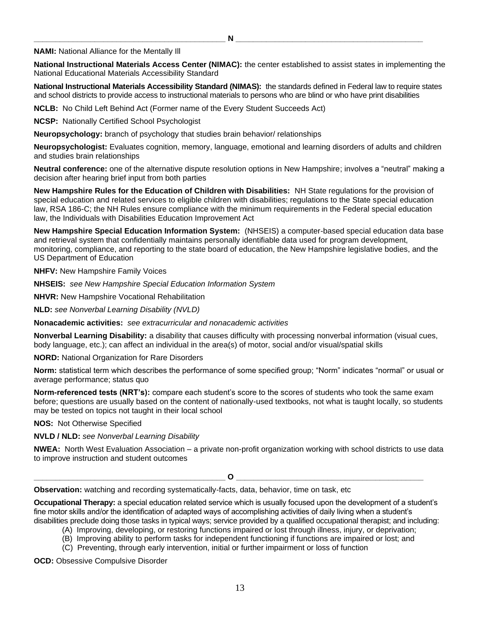#### **NAMI:** National Alliance for the Mentally Ill

**National Instructional Materials Access Center (NIMAC):** the center established to assist states in implementing the National Educational Materials Accessibility Standard

**National Instructional Materials Accessibility Standard (NIMAS):** the standards defined in Federal law to require states and school districts to provide access to instructional materials to persons who are blind or who have print disabilities

**NCLB:** No Child Left Behind Act (Former name of the Every Student Succeeds Act)

**NCSP:** Nationally Certified School Psychologist

**Neuropsychology:** branch of psychology that studies brain behavior/ relationships

**Neuropsychologist:** Evaluates cognition, memory, language, emotional and learning disorders of adults and children and studies brain relationships

**Neutral conference:** one of the alternative dispute resolution options in New Hampshire; involves a "neutral" making a decision after hearing brief input from both parties

**New Hampshire Rules for the Education of Children with Disabilities:** NH State regulations for the provision of special education and related services to eligible children with disabilities; regulations to the State special education law, RSA 186-C; the NH Rules ensure compliance with the minimum requirements in the Federal special education law, the Individuals with Disabilities Education Improvement Act

**New Hampshire Special Education Information System:** (NHSEIS) a computer-based special education data base and retrieval system that confidentially maintains personally identifiable data used for program development, monitoring, compliance, and reporting to the state board of education, the New Hampshire legislative bodies, and the US Department of Education

**NHFV:** New Hampshire Family Voices

**NHSEIS:** *see New Hampshire Special Education Information System*

**NHVR:** New Hampshire Vocational Rehabilitation

**NLD:** *see Nonverbal Learning Disability (NVLD)*

**Nonacademic activities:** *see extracurricular and nonacademic activities*

**Nonverbal Learning Disability:** a disability that causes difficulty with processing nonverbal information (visual cues, body language, etc.); can affect an individual in the area(s) of motor, social and/or visual/spatial skills

**NORD:** National Organization for Rare Disorders

**Norm:** statistical term which describes the performance of some specified group; "Norm" indicates "normal" or usual or average performance; status quo

**Norm-referenced tests (NRT's):** compare each student's score to the scores of students who took the same exam before; questions are usually based on the content of nationally-used textbooks, not what is taught locally, so students may be tested on topics not taught in their local school

**NOS:** Not Otherwise Specified

**NVLD / NLD:** *see Nonverbal Learning Disability*

**NWEA:** North West Evaluation Association – a private non-profit organization working with school districts to use data to improve instruction and student outcomes

 $\overline{\mathbf{O}}$  , and the set of  $\overline{\mathbf{O}}$  , and the set of  $\overline{\mathbf{O}}$  , and the set of  $\overline{\mathbf{O}}$ 

**Observation:** watching and recording systematically-facts, data, behavior, time on task, etc

**Occupational Therapy:** a special education related service which is usually focused upon the development of a student's fine motor skills and/or the identification of adapted ways of accomplishing activities of daily living when a student's disabilities preclude doing those tasks in typical ways; service provided by a qualified occupational therapist; and including:

- (A) Improving, developing, or restoring functions impaired or lost through illness, injury, or deprivation;
- (B) Improving ability to perform tasks for independent functioning if functions are impaired or lost; and
- (C) Preventing, through early intervention, initial or further impairment or loss of function

**OCD:** Obsessive Compulsive Disorder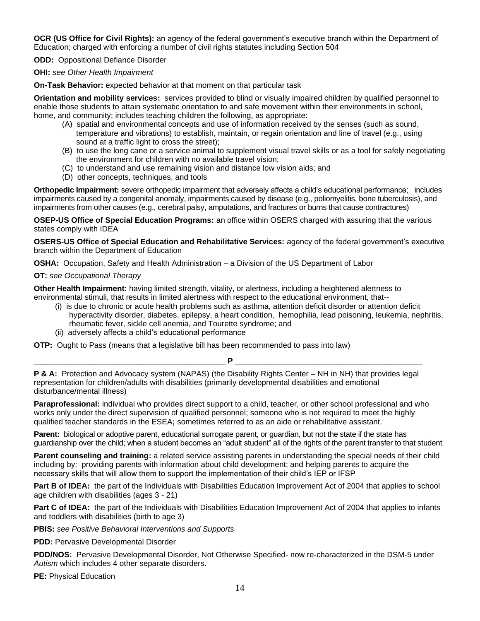**OCR (US Office for Civil Rights):** an agency of the federal government's executive branch within the Department of Education; charged with enforcing a number of civil rights statutes including Section 504

**ODD:** Oppositional Defiance Disorder

#### **OHI:** *see Other Health Impairment*

**On-Task Behavior:** expected behavior at that moment on that particular task

**Orientation and mobility services:** services provided to blind or visually impaired children by qualified personnel to enable those students to attain systematic orientation to and safe movement within their environments in school, home, and community; includes teaching children the following, as appropriate:

- (A) spatial and environmental concepts and use of information received by the senses (such as sound, temperature and vibrations) to establish, maintain, or regain orientation and line of travel (e.g., using sound at a traffic light to cross the street);
- (B) to use the long cane or a service animal to supplement visual travel skills or as a tool for safely negotiating the environment for children with no available travel vision;
- (C) to understand and use remaining vision and distance low vision aids; and
- (D) other concepts, techniques, and tools

**Orthopedic Impairment:** severe orthopedic impairment that adversely affects a child's educational performance; includes impairments caused by a congenital anomaly, impairments caused by disease (e.g., poliomyelitis, bone tuberculosis), and impairments from other causes (e.g., cerebral palsy, amputations, and fractures or burns that cause contractures)

**OSEP-US Office of Special Education Programs:** an office within OSERS charged with assuring that the various states comply with IDEA

**OSERS-US Office of Special Education and Rehabilitative Services:** agency of the federal government's executive branch within the Department of Education

**OSHA:** Occupation, Safety and Health Administration – a Division of the US Department of Labor

## **OT:** *see Occupational Therapy*

**Other Health Impairment:** having limited strength, vitality, or alertness, including a heightened alertness to environmental stimuli, that results in limited alertness with respect to the educational environment, that--

- (i) is due to chronic or acute health problems such as asthma, attention deficit disorder or attention deficit hyperactivity disorder, diabetes, epilepsy, a heart condition, hemophilia, lead poisoning, leukemia, nephritis, rheumatic fever, sickle cell anemia, and Tourette syndrome; and
- (ii) adversely affects a child's educational performance

**OTP:** Ought to Pass (means that a legislative bill has been recommended to pass into law)

**\_\_\_\_\_\_\_\_\_\_\_\_\_\_\_\_\_\_\_\_\_\_\_\_\_\_\_\_\_\_\_\_\_\_\_\_\_\_\_\_\_\_\_\_ P \_\_\_\_\_\_\_\_\_\_\_\_\_\_\_\_\_\_\_\_\_\_\_\_\_\_\_\_\_\_\_\_\_\_\_\_\_\_\_\_\_\_\_**

**P & A:** Protection and Advocacy system (NAPAS) (the Disability Rights Center – NH in NH) that provides legal representation for children/adults with disabilities (primarily developmental disabilities and emotional disturbance/mental illness)

**Paraprofessional:** individual who provides direct support to a child, teacher, or other school professional and who works only under the direct supervision of qualified personnel; someone who is not required to meet the highly qualified teacher standards in the ESEA**;** sometimes referred to as an aide or rehabilitative assistant.

**Parent:** biological or adoptive parent, educational surrogate parent, or guardian, but not the state if the state has guardianship over the child; when a student becomes an "adult student" all of the rights of the parent transfer to that student

**Parent counseling and training:** a related service assisting parents in understanding the special needs of their child including by: providing parents with information about child development; and helping parents to acquire the necessary skills that will allow them to support the implementation of their child's IEP or IFSP

**Part B of IDEA:** the part of the Individuals with Disabilities Education Improvement Act of 2004 that applies to school age children with disabilities (ages 3 - 21)

**Part C of IDEA:** the part of the Individuals with Disabilities Education Improvement Act of 2004 that applies to infants and toddlers with disabilities (birth to age 3)

**PBIS:** *see Positive Behavioral Interventions and Supports*

**PDD: Pervasive Developmental Disorder** 

**PDD/NOS:**Pervasive Developmental Disorder, Not Otherwise Specified- now re-characterized in the DSM-5 under *Autism* which includes 4 other separate disorders.

**PE:** Physical Education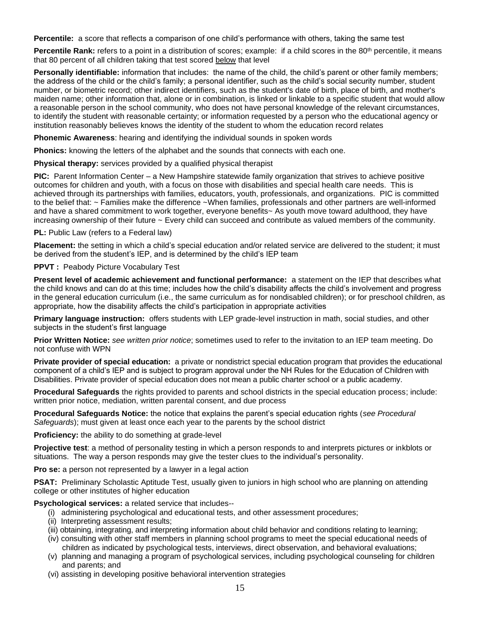**Percentile:** a score that reflects a comparison of one child's performance with others, taking the same test

**Percentile Rank:** refers to a point in a distribution of scores; example: if a child scores in the 80<sup>th</sup> percentile, it means that 80 percent of all children taking that test scored below that level

**Personally identifiable:** information that includes: the name of the child, the child's parent or other family members; the address of the child or the child's family; a personal identifier, such as the child's social security number, student number, or biometric record; other indirect identifiers, such as the student's date of birth, place of birth, and mother's maiden name; other information that, alone or in combination, is linked or linkable to a specific student that would allow a reasonable person in the school community, who does not have personal knowledge of the relevant circumstances, to identify the student with reasonable certainty; or information requested by a person who the educational agency or institution reasonably believes knows the identity of the student to whom the education record relates

**Phonemic Awareness**: hearing and identifying the individual sounds in spoken words

**Phonics:** knowing the letters of the alphabet and the sounds that connects with each one.

**Physical therapy:** services provided by a qualified physical therapist

**PIC:** Parent Information Center – a New Hampshire statewide family organization that strives to achieve positive outcomes for children and youth, with a focus on those with disabilities and special health care needs. This is achieved through its partnerships with families, educators, youth, professionals, and organizations. PIC is committed to the belief that: ~ Families make the difference ~When families, professionals and other partners are well-informed and have a shared commitment to work together, everyone benefits~ As youth move toward adulthood, they have increasing ownership of their future ~ Every child can succeed and contribute as valued members of the community.

**PL:** Public Law (refers to a Federal law)

**Placement:** the setting in which a child's special education and/or related service are delivered to the student; it must be derived from the student's IEP, and is determined by the child's IEP team

**PPVT :** Peabody Picture Vocabulary Test

**Present level of academic achievement and functional performance:** a statement on the IEP that describes what the child knows and can do at this time; includes how the child's disability affects the child's involvement and progress in the general education curriculum (i.e., the same curriculum as for nondisabled children); or for preschool children, as appropriate, how the disability affects the child's participation in appropriate activities

**Primary language instruction:** offers students with LEP grade-level instruction in math, social studies, and other subjects in the student's first language

**Prior Written Notice:** *see written prior notice*; sometimes used to refer to the invitation to an IEP team meeting. Do not confuse with WPN

**Private provider of special education:** a private or nondistrict special education program that provides the educational component of a child's IEP and is subject to program approval under the NH Rules for the Education of Children with Disabilities. Private provider of special education does not mean a public charter school or a public academy.

**Procedural Safeguards** the rights provided to parents and school districts in the special education process; include: written prior notice, mediation, written parental consent, and due process

**Procedural Safeguards Notice:** the notice that explains the parent's special education rights (*see Procedural Safeguards*); must given at least once each year to the parents by the school district

**Proficiency:** the ability to do something at grade-level

**Projective test**: a method of personality testing in which a person responds to and interprets pictures or inkblots or situations. The way a person responds may give the tester clues to the individual's personality.

**Pro se:** a person not represented by a lawyer in a legal action

**PSAT:** Preliminary Scholastic Aptitude Test, usually given to juniors in high school who are planning on attending college or other institutes of higher education

**Psychological services:** a related service that includes--

- (i) administering psychological and educational tests, and other assessment procedures;
- (ii) Interpreting assessment results;
- (iii) obtaining, integrating, and interpreting information about child behavior and conditions relating to learning;
- (iv) consulting with other staff members in planning school programs to meet the special educational needs of children as indicated by psychological tests, interviews, direct observation, and behavioral evaluations;
- (v) planning and managing a program of psychological services, including psychological counseling for children and parents; and
- (vi) assisting in developing positive behavioral intervention strategies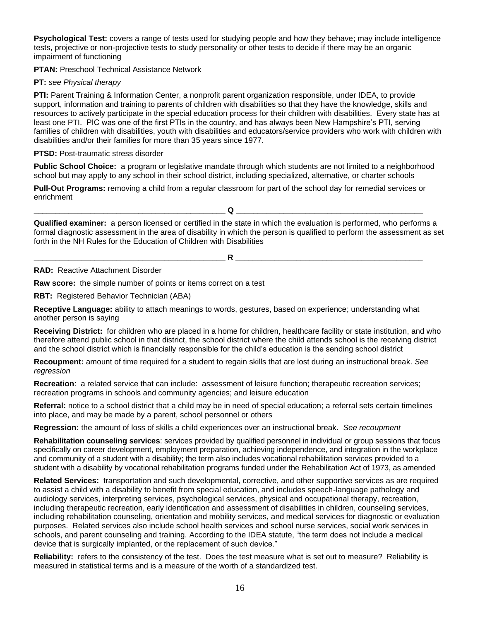**Psychological Test:** covers a range of tests used for studying people and how they behave; may include intelligence tests, projective or non-projective tests to study personality or other tests to decide if there may be an organic impairment of functioning

**PTAN:** Preschool Technical Assistance Network

## **PT:** *see Physical therapy*

**PTI:** Parent Training & Information Center, a nonprofit parent organization responsible, under IDEA, to provide support, information and training to parents of children with disabilities so that they have the knowledge, skills and resources to actively participate in the special education process for their children with disabilities. Every state has at least one PTI. PIC was one of the first PTIs in the country, and has always been New Hampshire's PTI, serving families of children with disabilities, youth with disabilities and educators/service providers who work with children with disabilities and/or their families for more than 35 years since 1977.

## **PTSD:** Post-traumatic stress disorder

**Public School Choice:** a program or legislative mandate through which students are not limited to a neighborhood school but may apply to any school in their school district, including specialized, alternative, or charter schools

**Pull-Out Programs:** removing a child from a regular classroom for part of the school day for remedial services or enrichment

**\_\_\_\_\_\_\_\_\_\_\_\_\_\_\_\_\_\_\_\_\_\_\_\_\_\_\_\_\_\_\_\_\_\_\_\_\_\_\_\_\_\_\_\_ Q \_\_\_\_\_\_\_\_\_\_\_\_\_\_\_\_\_\_\_\_\_\_\_\_\_\_\_\_\_\_\_\_\_\_\_\_\_\_\_\_\_\_\_**

**Qualified examiner:** a person licensed or certified in the state in which the evaluation is performed, who performs a formal diagnostic assessment in the area of disability in which the person is qualified to perform the assessment as set forth in the NH Rules for the Education of Children with Disabilities

**\_\_\_\_\_\_\_\_\_\_\_\_\_\_\_\_\_\_\_\_\_\_\_\_\_\_\_\_\_\_\_\_\_\_\_\_\_\_\_\_\_\_\_\_ R \_\_\_\_\_\_\_\_\_\_\_\_\_\_\_\_\_\_\_\_\_\_\_\_\_\_\_\_\_\_\_\_\_\_\_\_\_\_\_\_\_\_\_**

**RAD:**Reactive Attachment Disorder

**Raw score:** the simple number of points or items correct on a test

**RBT:** Registered Behavior Technician (ABA)

**Receptive Language:** ability to attach meanings to words, gestures, based on experience; understanding what another person is saying

**Receiving District:**for children who are placed in a home for children, healthcare facility or state institution, and who therefore attend public school in that district, the school district where the child attends school is the receiving district and the school district which is financially responsible for the child's education is the sending school district

**Recoupment:** amount of time required for a student to regain skills that are lost during an instructional break. *See regression*

**Recreation**: a related service that can include: assessment of leisure function; therapeutic recreation services; recreation programs in schools and community agencies; and leisure education

**Referral:** notice to a school district that a child may be in need of special education; a referral sets certain timelines into place, and may be made by a parent, school personnel or others

**Regression:** the amount of loss of skills a child experiences over an instructional break. *See recoupment*

**Rehabilitation counseling services**: services provided by qualified personnel in individual or group sessions that focus specifically on career development, employment preparation, achieving independence, and integration in the workplace and community of a student with a disability; the term also includes vocational rehabilitation services provided to a student with a disability by vocational rehabilitation programs funded under the Rehabilitation Act of 1973, as amended

**Related Services:** transportation and such developmental, corrective, and other supportive services as are required to assist a child with a disability to benefit from special education, and includes speech-language pathology and audiology services, interpreting services, psychological services, physical and occupational therapy, recreation, including therapeutic recreation, early identification and assessment of disabilities in children, counseling services, including rehabilitation counseling, orientation and mobility services, and medical services for diagnostic or evaluation purposes. Related services also include school health services and school nurse services, social work services in schools, and parent counseling and training. According to the IDEA statute, "the term does not include a medical device that is surgically implanted, or the replacement of such device."

**Reliability:** refers to the consistency of the test. Does the test measure what is set out to measure? Reliability is measured in statistical terms and is a measure of the worth of a standardized test.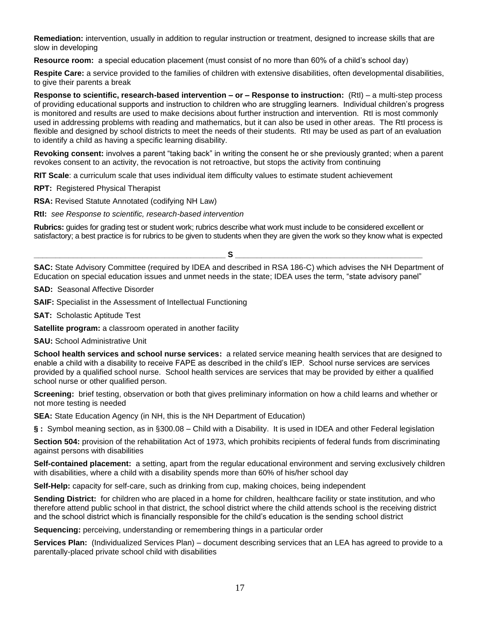**Remediation:** intervention, usually in addition to regular instruction or treatment, designed to increase skills that are slow in developing

**Resource room:** a special education placement (must consist of no more than 60% of a child's school day)

**Respite Care:** a service provided to the families of children with extensive disabilities, often developmental disabilities, to give their parents a break

**Response to scientific, research-based intervention – or – Response to instruction:**(RtI) – a multi-step process of providing educational supports and instruction to children who are struggling learners. Individual children's progress is monitored and results are used to make decisions about further instruction and intervention. RtI is most commonly used in addressing problems with reading and mathematics, but it can also be used in other areas. The RtI process is flexible and designed by school districts to meet the needs of their students. RtI may be used as part of an evaluation to identify a child as having a specific learning disability.

**Revoking consent:** involves a parent "taking back" in writing the consent he or she previously granted; when a parent revokes consent to an activity, the revocation is not retroactive, but stops the activity from continuing

**RIT Scale**: a curriculum scale that uses individual item difficulty values to estimate student achievement

**RPT:** Registered Physical Therapist

**RSA:** Revised Statute Annotated (codifying NH Law)

**RtI:** *see Response to scientific, research-based intervention*

**Rubrics:** guides for grading test or student work; rubrics describe what work must include to be considered excellent or satisfactory; a best practice is for rubrics to be given to students when they are given the work so they know what is expected

**SAC:** State Advisory Committee (required by IDEA and described in RSA 186-C) which advises the NH Department of Education on special education issues and unmet needs in the state; IDEA uses the term, "state advisory panel"

**\_\_\_\_\_\_\_\_\_\_\_\_\_\_\_\_\_\_\_\_\_\_\_\_\_\_\_\_\_\_\_\_\_\_\_\_\_\_\_\_\_\_\_\_ S \_\_\_\_\_\_\_\_\_\_\_\_\_\_\_\_\_\_\_\_\_\_\_\_\_\_\_\_\_\_\_\_\_\_\_\_\_\_\_\_\_\_\_**

**SAD:** Seasonal Affective Disorder

**SAIF:** Specialist in the Assessment of Intellectual Functioning

**SAT:** Scholastic Aptitude Test

**Satellite program:** a classroom operated in another facility

**SAU:** School Administrative Unit

**School health services and school nurse services:** a related service meaning health services that are designed to enable a child with a disability to receive FAPE as described in the child's IEP. School nurse services are services provided by a qualified school nurse. School health services are services that may be provided by either a qualified school nurse or other qualified person.

**Screening:** brief testing, observation or both that gives preliminary information on how a child learns and whether or not more testing is needed

**SEA:** State Education Agency (in NH, this is the NH Department of Education)

**§ :** Symbol meaning section, as in §300.08 – Child with a Disability. It is used in IDEA and other Federal legislation

**Section 504:** provision of the rehabilitation Act of 1973, which prohibits recipients of federal funds from discriminating against persons with disabilities

**Self-contained placement:** a setting, apart from the regular educational environment and serving exclusively children with disabilities, where a child with a disability spends more than 60% of his/her school day

**Self-Help:** capacity for self-care, such as drinking from cup, making choices, being independent

**Sending District:** for children who are placed in a home for children, healthcare facility or state institution, and who therefore attend public school in that district, the school district where the child attends school is the receiving district and the school district which is financially responsible for the child's education is the sending school district

**Sequencing:** perceiving, understanding or remembering things in a particular order

**Services Plan:** (Individualized Services Plan) – document describing services that an LEA has agreed to provide to a parentally-placed private school child with disabilities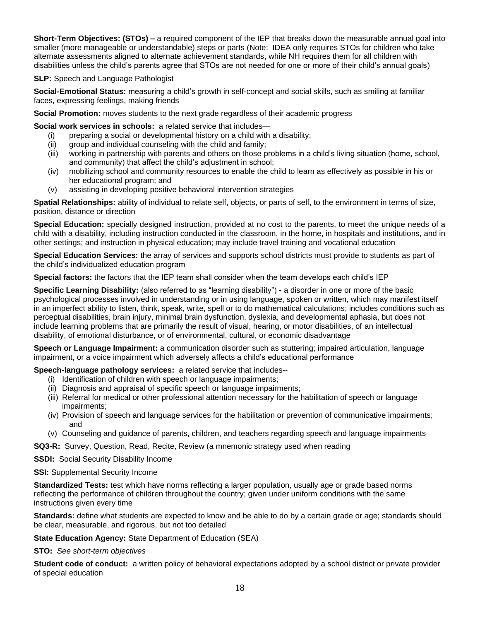**Short-Term Objectives: (STOs) –** a required component of the IEP that breaks down the measurable annual goal into smaller (more manageable or understandable) steps or parts (Note: IDEA only requires STOs for children who take alternate assessments aligned to alternate achievement standards, while NH requires them for all children with disabilities unless the child's parents agree that STOs are not needed for one or more of their child's annual goals)

## **SLP:** Speech and Language Pathologist

**Social-Emotional Status:** measuring a child's growth in self-concept and social skills, such as smiling at familiar faces, expressing feelings, making friends

**Social Promotion:** moves students to the next grade regardless of their academic progress

**Social work services in schools:** a related service that includes—

- (i) preparing a social or developmental history on a child with a disability;
- (ii) group and individual counseling with the child and family;
- (iii) working in partnership with parents and others on those problems in a child's living situation (home, school, and community) that affect the child's adjustment in school;
- (iv) mobilizing school and community resources to enable the child to learn as effectively as possible in his or her educational program; and
- (v) assisting in developing positive behavioral intervention strategies

**Spatial Relationships:** ability of individual to relate self, objects, or parts of self, to the environment in terms of size, position, distance or direction

**Special Education:** specially designed instruction, provided at no cost to the parents, to meet the unique needs of a child with a disability, including instruction conducted in the classroom, in the home, in hospitals and institutions, and in other settings; and instruction in physical education; may include travel training and vocational education

**Special Education Services:** the array of services and supports school districts must provide to students as part of the child's individualized education program

**Special factors:** the factors that the IEP team shall consider when the team develops each child's IEP

**Specific Learning Disability:** (also referred to as "learning disability") **-** a disorder in one or more of the basic psychological processes involved in understanding or in using language, spoken or written, which may manifest itself in an imperfect ability to listen, think, speak, write, spell or to do mathematical calculations; includes conditions such as perceptual disabilities, brain injury, minimal brain dysfunction, dyslexia, and developmental aphasia, but does not include learning problems that are primarily the result of visual, hearing, or motor disabilities, of an intellectual disability, of emotional disturbance, or of environmental, cultural, or economic disadvantage

**Speech or Language Impairment:** a communication disorder such as stuttering; impaired articulation, language impairment, or a voice impairment which adversely affects a child's educational performance

## **Speech-language pathology services:** a related service that includes--

- (i) Identification of children with speech or language impairments;
- (ii) Diagnosis and appraisal of specific speech or language impairments;
- (iii) Referral for medical or other professional attention necessary for the habilitation of speech or language impairments;
- (iv) Provision of speech and language services for the habilitation or prevention of communicative impairments; and
- (v) Counseling and guidance of parents, children, and teachers regarding speech and language impairments

**SQ3-R:** Survey, Question, Read, Recite, Review (a mnemonic strategy used when reading

**SSDI:** Social Security Disability Income

**SSI:** Supplemental Security Income

**Standardized Tests:** test which have norms reflecting a larger population, usually age or grade based norms reflecting the performance of children throughout the country; given under uniform conditions with the same instructions given every time

**Standards:** define what students are expected to know and be able to do by a certain grade or age; standards should be clear, measurable, and rigorous, but not too detailed

**State Education Agency:** State Department of Education (SEA)

**STO:** *See short-term objectives*

**Student code of conduct:** a written policy of behavioral expectations adopted by a school district or private provider of special education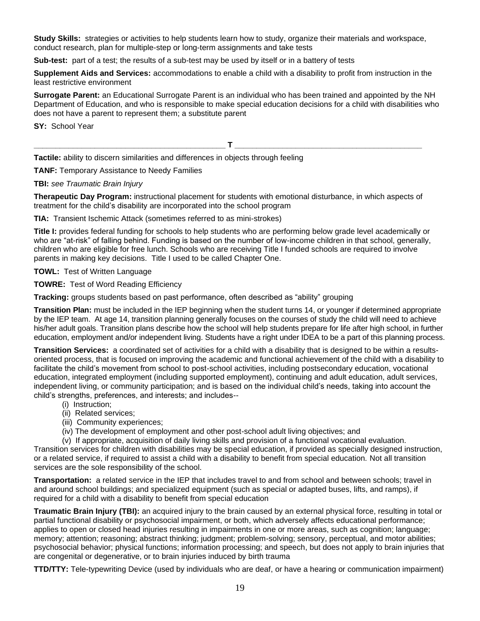**Study Skills:** strategies or activities to help students learn how to study, organize their materials and workspace, conduct research, plan for multiple-step or long-term assignments and take tests

**Sub-test:** part of a test; the results of a sub-test may be used by itself or in a battery of tests

**Supplement Aids and Services:** accommodations to enable a child with a disability to profit from instruction in the least restrictive environment

**Surrogate Parent:** an Educational Surrogate Parent is an individual who has been trained and appointed by the NH Department of Education, and who is responsible to make special education decisions for a child with disabilities who does not have a parent to represent them; a substitute parent

**SY:** School Year

 $\blacksquare$ 

**Tactile:** ability to discern similarities and differences in objects through feeling

**TANF:** Temporary Assistance to Needy Families

## **TBI:** *see Traumatic Brain Injury*

**Therapeutic Day Program:** instructional placement for students with emotional disturbance, in which aspects of treatment for the child's disability are incorporated into the school program

**TIA:** Transient Ischemic Attack (sometimes referred to as mini-strokes)

**Title I:** provides federal funding for schools to help students who are performing below grade level academically or who are "at-risk" of falling behind. Funding is based on the number of low-income children in that school, generally, children who are eligible for free lunch. Schools who are receiving Title I funded schools are required to involve parents in making key decisions. Title I used to be called Chapter One.

**TOWL:** Test of Written Language

**TOWRE:** Test of Word Reading Efficiency

**Tracking:** groups students based on past performance, often described as "ability" grouping

**Transition Plan:** must be included in the IEP beginning when the student turns 14, or younger if determined appropriate by the IEP team. At age 14, transition planning generally focuses on the courses of study the child will need to achieve his/her adult goals. Transition plans describe how the school will help students prepare for life after high school, in further education, employment and/or independent living. Students have a right under IDEA to be a part of this planning process.

**Transition Services:** a coordinated set of activities for a child with a disability that is designed to be within a resultsoriented process, that is focused on improving the academic and functional achievement of the child with a disability to facilitate the child's movement from school to post-school activities, including postsecondary education, vocational education, integrated employment (including supported employment), continuing and adult education, adult services, independent living, or community participation; and is based on the individual child's needs, taking into account the child's strengths, preferences, and interests; and includes--

- (i) Instruction;
- (ii) Related services;
- (iii) Community experiences;
- (iv) The development of employment and other post-school adult living objectives; and

(v) If appropriate, acquisition of daily living skills and provision of a functional vocational evaluation.

Transition services for children with disabilities may be special education, if provided as specially designed instruction, or a related service, if required to assist a child with a disability to benefit from special education. Not all transition services are the sole responsibility of the school.

**Transportation:** a related service in the IEP that includes travel to and from school and between schools; travel in and around school buildings; and specialized equipment (such as special or adapted buses, lifts, and ramps), if required for a child with a disability to benefit from special education

**Traumatic Brain Injury (TBI):** an acquired injury to the brain caused by an external physical force, resulting in total or partial functional disability or psychosocial impairment, or both, which adversely affects educational performance; applies to open or closed head injuries resulting in impairments in one or more areas, such as cognition; language; memory; attention; reasoning; abstract thinking; judgment; problem-solving; sensory, perceptual, and motor abilities; psychosocial behavior; physical functions; information processing; and speech, but does not apply to brain injuries that are congenital or degenerative, or to brain injuries induced by birth trauma

**TTD/TTY:** Tele-typewriting Device (used by individuals who are deaf, or have a hearing or communication impairment)